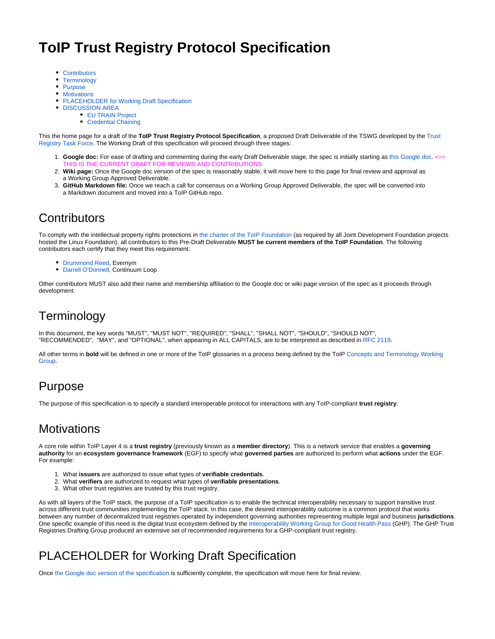# **ToIP Trust Registry Protocol Specification**

- [Contributors](https://wiki.trustoverip.org/display/HOME/ToIP+Trust+Registry+Protocol+Specification#ToIPTrustRegistryProtocolSpecification-Contributors)
- **[Terminology](https://wiki.trustoverip.org/display/HOME/ToIP+Trust+Registry+Protocol+Specification#ToIPTrustRegistryProtocolSpecification-Terminology)**
- [Purpose](https://wiki.trustoverip.org/display/HOME/ToIP+Trust+Registry+Protocol+Specification#ToIPTrustRegistryProtocolSpecification-Purpose)
- [Motivations](https://wiki.trustoverip.org/display/HOME/ToIP+Trust+Registry+Protocol+Specification#ToIPTrustRegistryProtocolSpecification-Motivations)
- [PLACEHOLDER for Working Draft Specification](https://wiki.trustoverip.org/display/HOME/ToIP+Trust+Registry+Protocol+Specification#ToIPTrustRegistryProtocolSpecification-PLACEHOLDERforWorkingDraftSpecification)
- **[DISCUSSION AREA](https://wiki.trustoverip.org/display/HOME/ToIP+Trust+Registry+Protocol+Specification#ToIPTrustRegistryProtocolSpecification-DISCUSSIONAREA)** 
	- **[EU TRAIN Project](https://wiki.trustoverip.org/display/HOME/ToIP+Trust+Registry+Protocol+Specification#ToIPTrustRegistryProtocolSpecification-EUTRAINProject)**
	- [Credential Chaining](https://wiki.trustoverip.org/display/HOME/ToIP+Trust+Registry+Protocol+Specification#ToIPTrustRegistryProtocolSpecification-CredentialChaining)

This the home page for a draft of the **ToIP Trust Registry Protocol Specification**, a proposed Draft Deliverable of the TSWG developed by the [Trust](https://wiki.trustoverip.org/display/HOME/Trust+Registry+Task+Force)  [Registry Task Force](https://wiki.trustoverip.org/display/HOME/Trust+Registry+Task+Force). The Working Draft of this specification will proceed through three stages:

- 1. Google doc: For ease of drafting and commenting during the early Draft Deliverable stage, the spec is initially starting as [this Google doc](https://docs.google.com/document/d/1ZGXUB0oODHO66PQkO66-fbAu6f7sVVToOz3Q8RNG0fs/edit?usp=sharing). <== THIS IS THE CURRENT DRAFT FOR REVIEWS AND CONTRIBUTIONS
- 2. **Wiki page:** Once the Google doc version of the spec is reasonably stable, it will move here to this page for final review and approval as a Working Group Approved Deliverable.
- 3. **GitHub Markdown file:** Once we reach a call for consensus on a Working Group Approved Deliverable, the spec will be converted into a Markdown document and moved into a ToIP GitHub repo.

### **Contributors**

To comply with the intellectual property rights protections in [the charter of the ToIP Foundation](https://docs.google.com/document/d/1hJ4YWH_efrYTRvzRI1N9YHwhUOyI_ScrPmI1D9T4_oc/edit?usp=sharing) (as required by all Joint Development Foundation projects hosted the Linux Foundation), all contributors to this Pre-Draft Deliverable **MUST be current members of the ToIP Foundation**. The following contributors each certify that they meet this requirement:

- [Drummond Reed](https://wiki.trustoverip.org/display/~drummondreed), Evernym
- [Darrell O'Donnell,](https://wiki.trustoverip.org/display/~darrell.odonnell) Continuum Loop

Other contributors MUST also add their name and membership affiliation to the Google doc or wiki page version of the spec as it proceeds through development.

# **Terminology**

In this document, the key words "MUST", "MUST NOT", "REQUIRED", "SHALL", "SHALL NOT", "SHOULD", "SHOULD NOT", "RECOMMENDED", "MAY", and "OPTIONAL", when appearing in ALL CAPITALS, are to be interpreted as described i[n RFC 2119](https://tools.ietf.org/html/rfc2119).

All other terms in **bold** will be defined in one or more of the ToIP glossaries in a process being defined by the ToIP [Concepts and Terminology Working](https://wiki.trustoverip.org/pages/viewpage.action?pageId=65700)  [Group.](https://wiki.trustoverip.org/pages/viewpage.action?pageId=65700)

### Purpose

The purpose of this specification is to specify a standard interoperable protocol for interactions with any ToIP-compliant **trust registry**.

### **Motivations**

A core role within ToIP Layer 4 is a **trust registry** (previously known as a **member directory**). This is a network service that enables a **governing authority** for an **ecosystem governance framework** (EGF) to specify what **governed parties** are authorized to perform what **actions** under the EGF. For example:

- 1. What **issuers** are authorized to issue what types of **verifiable credentials**.
- 2. What **verifiers** are authorized to request what types of **verifiable presentations**.
- 3. What other trust registries are trusted by this trust registry.

As with all layers of the ToIP stack, the purpose of a ToIP specification is to enable the technical interoperability necessary to support transitive trust across different trust communities implementing the ToIP stack. In this case, the desired interoperability outcome is a common protocol that works between any number of decentralized trust registries operated by independent governing authorities representing multiple legal and business **jurisdictions**. One specific example of this need is the digital trust ecosystem defined by the [Interoperability Working Group for Good Health Pass](https://wiki.trustoverip.org/pages/viewpage.action?pageId=73790) (GHP). The GHP Trust Registries Drafting Group produced an extensive set of recommended requirements for a GHP-compliant trust registry.

# PLACEHOLDER for Working Draft Specification

Once [the Google doc version of the specification](https://docs.google.com/document/d/1ZGXUB0oODHO66PQkO66-fbAu6f7sVVToOz3Q8RNG0fs/edit?usp=sharing) is sufficiently complete, the specification will move here for final review.